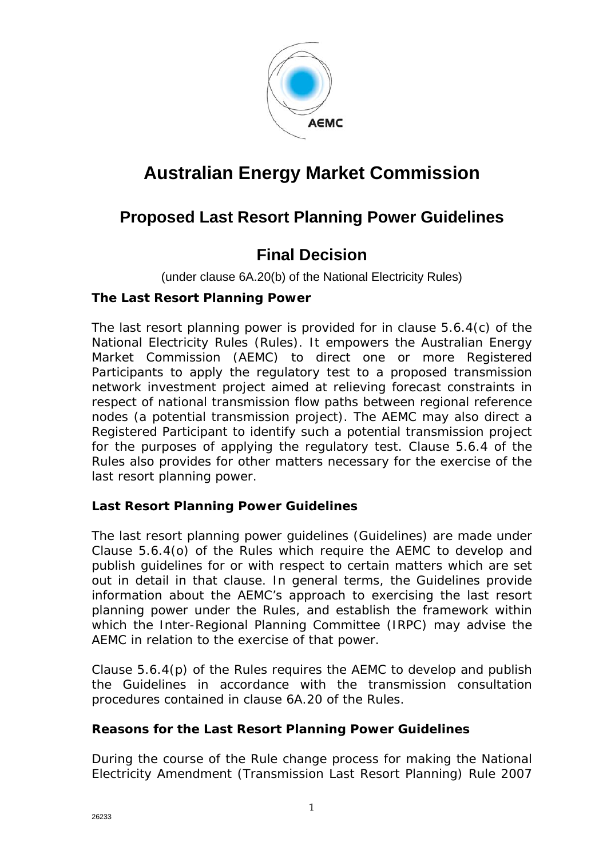

# **Australian Energy Market Commission**

### **Proposed Last Resort Planning Power Guidelines**

### **Final Decision**

(under clause 6A.20(b) of the National Electricity Rules)

#### **The Last Resort Planning Power**

The last resort planning power is provided for in clause 5.6.4(c) of the National Electricity Rules (Rules). It empowers the Australian Energy Market Commission (AEMC) to direct one or more Registered Participants to apply the regulatory test to a proposed transmission network investment project aimed at relieving forecast constraints in respect of national transmission flow paths between regional reference nodes (a potential transmission project). The AEMC may also direct a Registered Participant to identify such a potential transmission project for the purposes of applying the regulatory test. Clause 5.6.4 of the Rules also provides for other matters necessary for the exercise of the last resort planning power.

#### **Last Resort Planning Power Guidelines**

The last resort planning power guidelines (Guidelines) are made under Clause 5.6.4(o) of the Rules which require the AEMC to develop and publish guidelines for or with respect to certain matters which are set out in detail in that clause. In general terms, the Guidelines provide information about the AEMC's approach to exercising the last resort planning power under the Rules, and establish the framework within which the Inter-Regional Planning Committee (IRPC) may advise the AEMC in relation to the exercise of that power.

Clause 5.6.4(p) of the Rules requires the AEMC to develop and publish the Guidelines in accordance with the transmission consultation procedures contained in clause 6A.20 of the Rules.

#### **Reasons for the Last Resort Planning Power Guidelines**

During the course of the Rule change process for making the *National Electricity Amendment (Transmission Last Resort Planning) Rule 2007*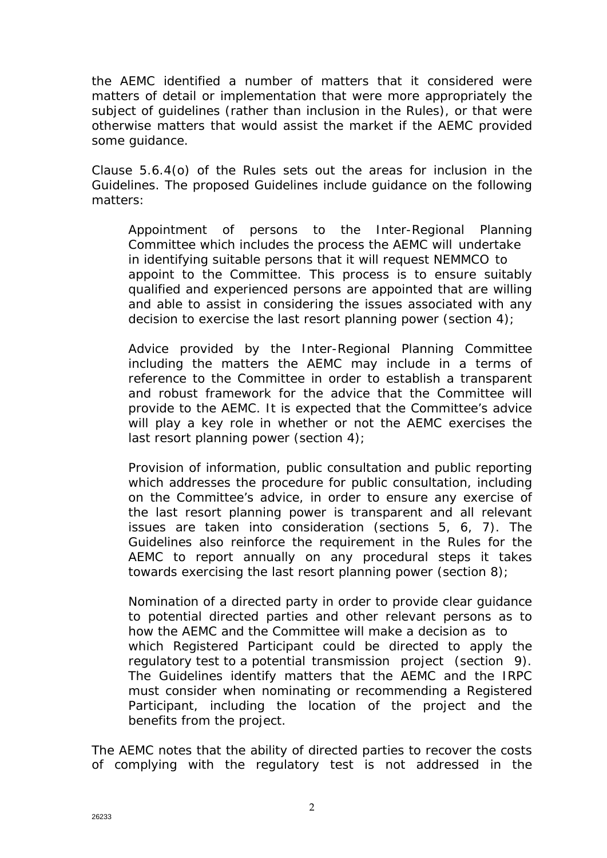the AEMC identified a number of matters that it considered were matters of detail or implementation that were more appropriately the subject of guidelines (rather than inclusion in the Rules), or that were otherwise matters that would assist the market if the AEMC provided some guidance.

Clause 5.6.4(o) of the Rules sets out the areas for inclusion in the Guidelines. The proposed Guidelines include guidance on the following matters:

*Appointment of persons to the Inter-Regional Planning Committee* which includes the process the AEMC will undertake in identifying suitable persons that it will request NEMMCO to appoint to the Committee. This process is to ensure suitably qualified and experienced persons are appointed that are willing and able to assist in considering the issues associated with any decision to exercise the last resort planning power (section 4);

*Advice provided by the Inter-Regional Planning Committee* including the matters the AEMC may include in a terms of reference to the Committee in order to establish a transparent and robust framework for the advice that the Committee will provide to the AEMC. It is expected that the Committee's advice will play a key role in whether or not the AEMC exercises the last resort planning power (section 4);

*Provision of information, public consultation and public reporting* which addresses the procedure for public consultation, including on the Committee's advice, in order to ensure any exercise of the last resort planning power is transparent and all relevant issues are taken into consideration (sections 5, 6, 7). The Guidelines also reinforce the requirement in the Rules for the AEMC to report annually on any procedural steps it takes towards exercising the last resort planning power (section 8);

*Nomination of a directed party* in order to provide clear guidance to potential directed parties and other relevant persons as to how the AEMC and the Committee will make a decision as to which Registered Participant could be directed to apply the regulatory test to a potential transmission project (section 9). The Guidelines identify matters that the AEMC and the IRPC must consider when nominating or recommending a Registered Participant, including the location of the project and the benefits from the project.

The AEMC notes that the ability of directed parties to recover the costs of complying with the regulatory test is not addressed in the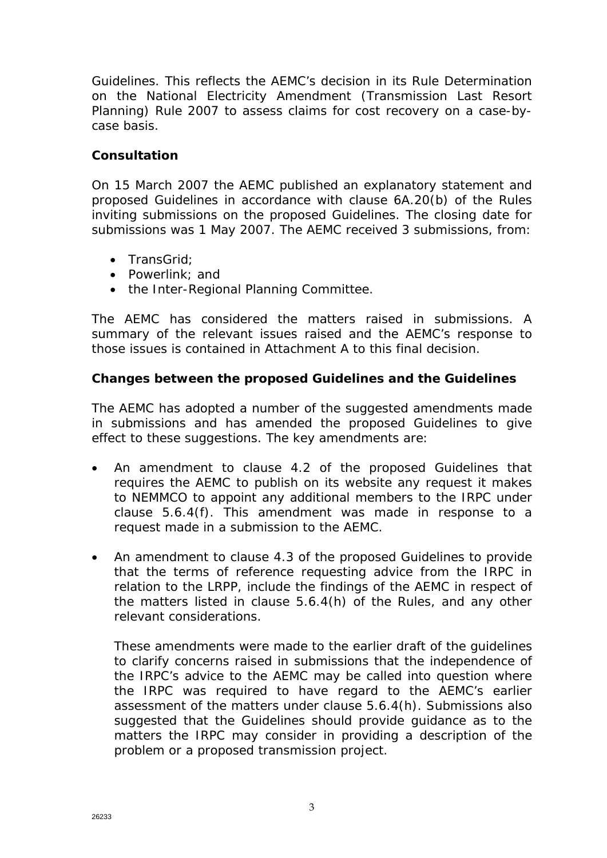Guidelines. This reflects the AEMC's decision in its Rule Determination on the *National Electricity Amendment (Transmission Last Resort Planning) Rule 2007* to assess claims for cost recovery on a case-bycase basis.

#### **Consultation**

On 15 March 2007 the AEMC published an explanatory statement and proposed Guidelines in accordance with clause 6A.20(b) of the Rules inviting submissions on the proposed Guidelines. The closing date for submissions was 1 May 2007. The AEMC received 3 submissions, from:

- TransGrid;
- Powerlink; and
- the Inter-Regional Planning Committee.

The AEMC has considered the matters raised in submissions. A summary of the relevant issues raised and the AEMC's response to those issues is contained in Attachment A to this final decision.

#### **Changes between the proposed Guidelines and the Guidelines**

The AEMC has adopted a number of the suggested amendments made in submissions and has amended the proposed Guidelines to give effect to these suggestions. The key amendments are:

- *An amendment to clause 4.2* of the proposed Guidelines that requires the AEMC to publish on its website any request it makes to NEMMCO to appoint any additional members to the IRPC under clause 5.6.4(f). This amendment was made in response to a request made in a submission to the AEMC.
- *An amendment to clause 4.3* of the proposed Guidelines to provide that the terms of reference requesting advice from the IRPC in relation to the LRPP, include the findings of the AEMC in respect of the matters listed in clause 5.6.4(h) of the Rules, and any other relevant considerations.

These amendments were made to the earlier draft of the guidelines to clarify concerns raised in submissions that the independence of the IRPC's advice to the AEMC may be called into question where the IRPC was required to have regard to the AEMC's earlier assessment of the matters under clause 5.6.4(h). Submissions also suggested that the Guidelines should provide guidance as to the matters the IRPC may consider in providing a description of the problem or a proposed transmission project.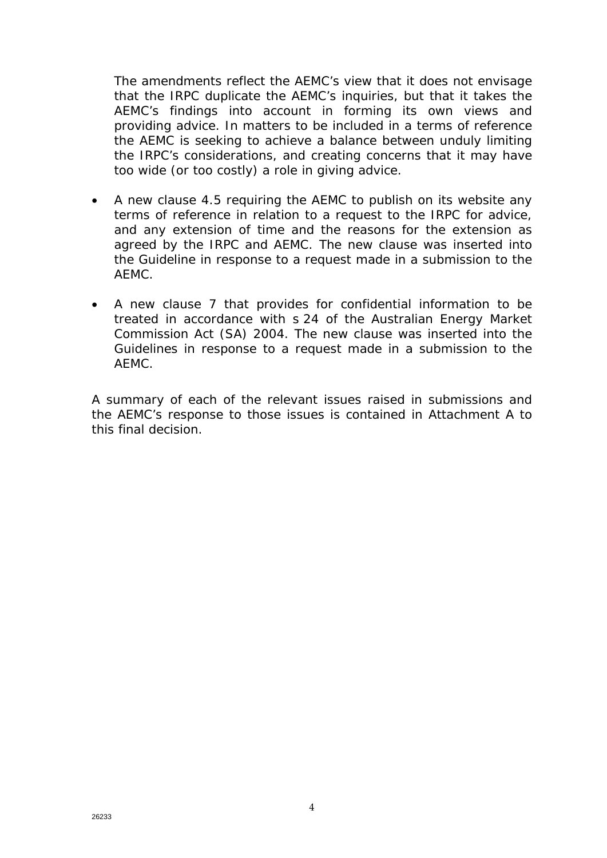The amendments reflect the AEMC's view that it does not envisage that the IRPC duplicate the AEMC's inquiries, but that it takes the AEMC's findings into account in forming its own views and providing advice. In matters to be included in a terms of reference the AEMC is seeking to achieve a balance between unduly limiting the IRPC's considerations, and creating concerns that it may have too wide (or too costly) a role in giving advice.

- *A new clause 4.5* requiring the AEMC to publish on its website any terms of reference in relation to a request to the IRPC for advice, and any extension of time and the reasons for the extension as agreed by the IRPC and AEMC. The new clause was inserted into the Guideline in response to a request made in a submission to the AEMC.
- *A new clause 7* that provides for confidential information to be treated in accordance with s 24 of the *Australian Energy Market Commission Act (SA) 2004*. The new clause was inserted into the Guidelines in response to a request made in a submission to the AEMC.

A summary of each of the relevant issues raised in submissions and the AEMC's response to those issues is contained in Attachment A to this final decision.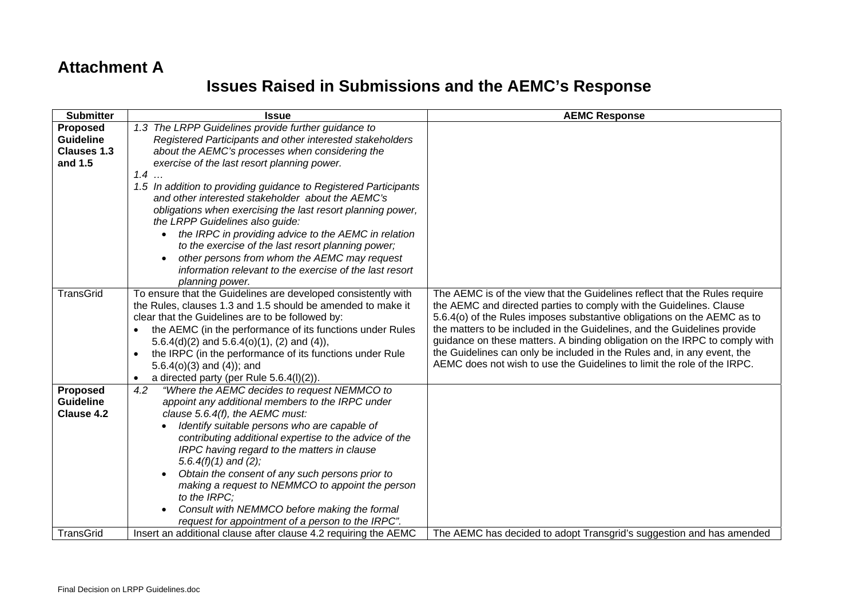### **Attachment A**

## **Issues Raised in Submissions and the AEMC's Response**

| <b>Submitter</b>   | <b>Issue</b>                                                          | <b>AEMC Response</b>                                                       |
|--------------------|-----------------------------------------------------------------------|----------------------------------------------------------------------------|
| Proposed           | 1.3 The LRPP Guidelines provide further guidance to                   |                                                                            |
| <b>Guideline</b>   | Registered Participants and other interested stakeholders             |                                                                            |
| <b>Clauses 1.3</b> | about the AEMC's processes when considering the                       |                                                                            |
| and 1.5            | exercise of the last resort planning power.                           |                                                                            |
|                    | $1.4$                                                                 |                                                                            |
|                    | 1.5 In addition to providing guidance to Registered Participants      |                                                                            |
|                    | and other interested stakeholder about the AEMC's                     |                                                                            |
|                    | obligations when exercising the last resort planning power,           |                                                                            |
|                    | the LRPP Guidelines also guide:                                       |                                                                            |
|                    | the IRPC in providing advice to the AEMC in relation                  |                                                                            |
|                    | to the exercise of the last resort planning power;                    |                                                                            |
|                    | other persons from whom the AEMC may request                          |                                                                            |
|                    | information relevant to the exercise of the last resort               |                                                                            |
|                    | planning power.                                                       |                                                                            |
| <b>TransGrid</b>   | To ensure that the Guidelines are developed consistently with         | The AEMC is of the view that the Guidelines reflect that the Rules require |
|                    | the Rules, clauses 1.3 and 1.5 should be amended to make it           | the AEMC and directed parties to comply with the Guidelines. Clause        |
|                    | clear that the Guidelines are to be followed by:                      | 5.6.4(o) of the Rules imposes substantive obligations on the AEMC as to    |
|                    | the AEMC (in the performance of its functions under Rules             | the matters to be included in the Guidelines, and the Guidelines provide   |
|                    | 5.6.4(d)(2) and 5.6.4(o)(1), (2) and (4)),                            | guidance on these matters. A binding obligation on the IRPC to comply with |
|                    | the IRPC (in the performance of its functions under Rule<br>$\bullet$ | the Guidelines can only be included in the Rules and, in any event, the    |
|                    | $5.6.4(o)(3)$ and $(4)$ ); and                                        | AEMC does not wish to use the Guidelines to limit the role of the IRPC.    |
|                    | a directed party (per Rule 5.6.4(I)(2)).<br>$\bullet$                 |                                                                            |
| <b>Proposed</b>    | "Where the AEMC decides to request NEMMCO to<br>4.2                   |                                                                            |
| <b>Guideline</b>   | appoint any additional members to the IRPC under                      |                                                                            |
| Clause 4.2         | clause 5.6.4(f), the AEMC must:                                       |                                                                            |
|                    | Identify suitable persons who are capable of                          |                                                                            |
|                    | contributing additional expertise to the advice of the                |                                                                            |
|                    | IRPC having regard to the matters in clause                           |                                                                            |
|                    | 5.6.4 $(f)(1)$ and $(2)$ ;                                            |                                                                            |
|                    | Obtain the consent of any such persons prior to                       |                                                                            |
|                    | making a request to NEMMCO to appoint the person                      |                                                                            |
|                    | to the IRPC;                                                          |                                                                            |
|                    | Consult with NEMMCO before making the formal                          |                                                                            |
|                    | request for appointment of a person to the IRPC".                     |                                                                            |
| TransGrid          | Insert an additional clause after clause 4.2 requiring the AEMC       | The AEMC has decided to adopt Transgrid's suggestion and has amended       |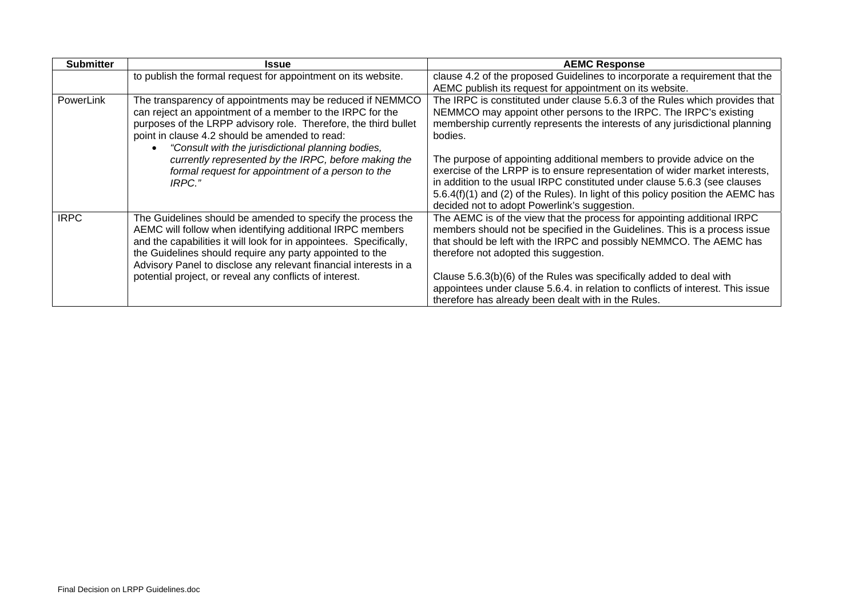| <b>Submitter</b> | <b>Issue</b>                                                                                                                                                                                                                                                                                                                                                                                                            | <b>AEMC Response</b>                                                                                                                                                                                                                                                                                                                                                                                                                                                                                                                                                                                                 |
|------------------|-------------------------------------------------------------------------------------------------------------------------------------------------------------------------------------------------------------------------------------------------------------------------------------------------------------------------------------------------------------------------------------------------------------------------|----------------------------------------------------------------------------------------------------------------------------------------------------------------------------------------------------------------------------------------------------------------------------------------------------------------------------------------------------------------------------------------------------------------------------------------------------------------------------------------------------------------------------------------------------------------------------------------------------------------------|
|                  | to publish the formal request for appointment on its website.                                                                                                                                                                                                                                                                                                                                                           | clause 4.2 of the proposed Guidelines to incorporate a requirement that the<br>AEMC publish its request for appointment on its website.                                                                                                                                                                                                                                                                                                                                                                                                                                                                              |
| PowerLink        | The transparency of appointments may be reduced if NEMMCO<br>can reject an appointment of a member to the IRPC for the<br>purposes of the LRPP advisory role. Therefore, the third bullet<br>point in clause 4.2 should be amended to read:<br>"Consult with the jurisdictional planning bodies,<br>currently represented by the IRPC, before making the<br>formal request for appointment of a person to the<br>IRPC." | The IRPC is constituted under clause 5.6.3 of the Rules which provides that<br>NEMMCO may appoint other persons to the IRPC. The IRPC's existing<br>membership currently represents the interests of any jurisdictional planning<br>bodies.<br>The purpose of appointing additional members to provide advice on the<br>exercise of the LRPP is to ensure representation of wider market interests,<br>in addition to the usual IRPC constituted under clause 5.6.3 (see clauses<br>5.6.4(f)(1) and (2) of the Rules). In light of this policy position the AEMC has<br>decided not to adopt Powerlink's suggestion. |
| <b>IRPC</b>      | The Guidelines should be amended to specify the process the<br>AEMC will follow when identifying additional IRPC members<br>and the capabilities it will look for in appointees. Specifically,<br>the Guidelines should require any party appointed to the<br>Advisory Panel to disclose any relevant financial interests in a<br>potential project, or reveal any conflicts of interest.                               | The AEMC is of the view that the process for appointing additional IRPC<br>members should not be specified in the Guidelines. This is a process issue<br>that should be left with the IRPC and possibly NEMMCO. The AEMC has<br>therefore not adopted this suggestion.<br>Clause 5.6.3(b)(6) of the Rules was specifically added to deal with<br>appointees under clause 5.6.4. in relation to conflicts of interest. This issue<br>therefore has already been dealt with in the Rules.                                                                                                                              |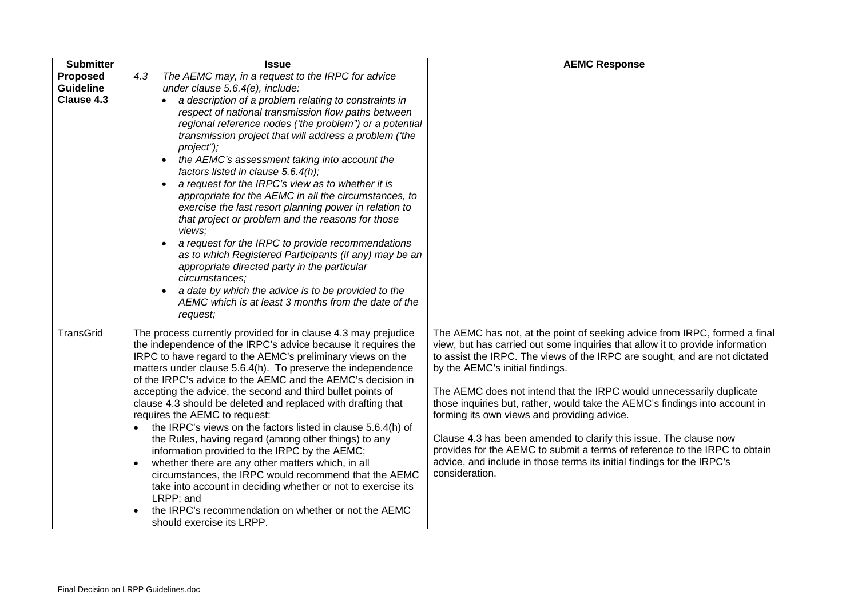| <b>Submitter</b> | <b>Issue</b>                                                                                                                    | <b>AEMC Response</b>                                                                                                                                        |
|------------------|---------------------------------------------------------------------------------------------------------------------------------|-------------------------------------------------------------------------------------------------------------------------------------------------------------|
| <b>Proposed</b>  | The AEMC may, in a request to the IRPC for advice<br>4.3                                                                        |                                                                                                                                                             |
| <b>Guideline</b> | under clause 5.6.4(e), include:                                                                                                 |                                                                                                                                                             |
| Clause 4.3       | a description of a problem relating to constraints in                                                                           |                                                                                                                                                             |
|                  | respect of national transmission flow paths between                                                                             |                                                                                                                                                             |
|                  | regional reference nodes ('the problem") or a potential                                                                         |                                                                                                                                                             |
|                  | transmission project that will address a problem ('the                                                                          |                                                                                                                                                             |
|                  | project");                                                                                                                      |                                                                                                                                                             |
|                  | the AEMC's assessment taking into account the<br>$\bullet$                                                                      |                                                                                                                                                             |
|                  | factors listed in clause 5.6.4(h);                                                                                              |                                                                                                                                                             |
|                  | a request for the IRPC's view as to whether it is                                                                               |                                                                                                                                                             |
|                  | appropriate for the AEMC in all the circumstances, to                                                                           |                                                                                                                                                             |
|                  | exercise the last resort planning power in relation to                                                                          |                                                                                                                                                             |
|                  | that project or problem and the reasons for those<br>views;                                                                     |                                                                                                                                                             |
|                  | a request for the IRPC to provide recommendations                                                                               |                                                                                                                                                             |
|                  | as to which Registered Participants (if any) may be an                                                                          |                                                                                                                                                             |
|                  | appropriate directed party in the particular                                                                                    |                                                                                                                                                             |
|                  | circumstances;                                                                                                                  |                                                                                                                                                             |
|                  | a date by which the advice is to be provided to the                                                                             |                                                                                                                                                             |
|                  | AEMC which is at least 3 months from the date of the                                                                            |                                                                                                                                                             |
|                  | request;                                                                                                                        |                                                                                                                                                             |
| <b>TransGrid</b> |                                                                                                                                 |                                                                                                                                                             |
|                  | The process currently provided for in clause 4.3 may prejudice<br>the independence of the IRPC's advice because it requires the | The AEMC has not, at the point of seeking advice from IRPC, formed a final<br>view, but has carried out some inquiries that allow it to provide information |
|                  | IRPC to have regard to the AEMC's preliminary views on the                                                                      | to assist the IRPC. The views of the IRPC are sought, and are not dictated                                                                                  |
|                  | matters under clause 5.6.4(h). To preserve the independence                                                                     | by the AEMC's initial findings.                                                                                                                             |
|                  | of the IRPC's advice to the AEMC and the AEMC's decision in                                                                     |                                                                                                                                                             |
|                  | accepting the advice, the second and third bullet points of                                                                     | The AEMC does not intend that the IRPC would unnecessarily duplicate                                                                                        |
|                  | clause 4.3 should be deleted and replaced with drafting that                                                                    | those inquiries but, rather, would take the AEMC's findings into account in                                                                                 |
|                  | requires the AEMC to request:                                                                                                   | forming its own views and providing advice.                                                                                                                 |
|                  | the IRPC's views on the factors listed in clause 5.6.4(h) of                                                                    |                                                                                                                                                             |
|                  | the Rules, having regard (among other things) to any                                                                            | Clause 4.3 has been amended to clarify this issue. The clause now                                                                                           |
|                  | information provided to the IRPC by the AEMC;                                                                                   | provides for the AEMC to submit a terms of reference to the IRPC to obtain                                                                                  |
|                  | whether there are any other matters which, in all                                                                               | advice, and include in those terms its initial findings for the IRPC's                                                                                      |
|                  | circumstances, the IRPC would recommend that the AEMC                                                                           | consideration.                                                                                                                                              |
|                  | take into account in deciding whether or not to exercise its                                                                    |                                                                                                                                                             |
|                  | LRPP; and                                                                                                                       |                                                                                                                                                             |
|                  | the IRPC's recommendation on whether or not the AEMC<br>$\bullet$                                                               |                                                                                                                                                             |
|                  | should exercise its LRPP.                                                                                                       |                                                                                                                                                             |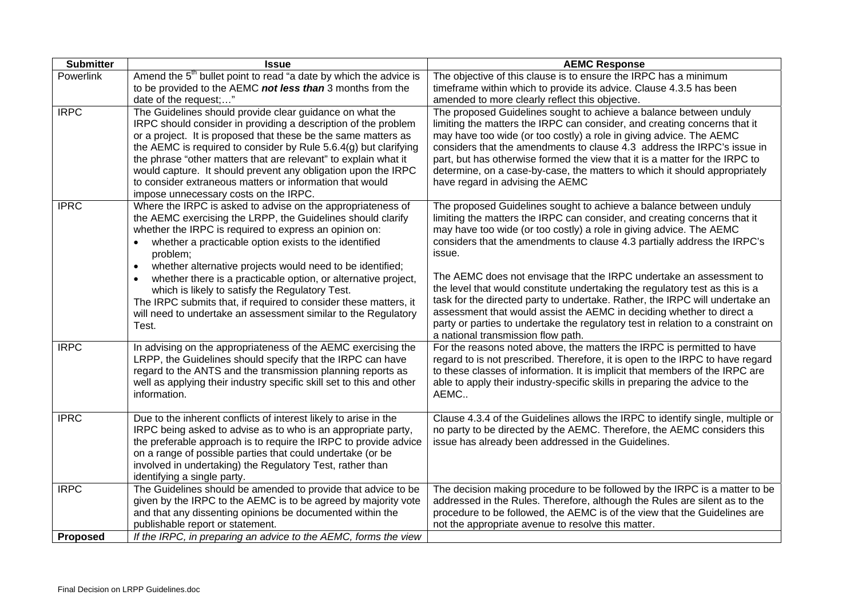| <b>Submitter</b> | <b>Issue</b>                                                                   | <b>AEMC Response</b>                                                                                                                            |
|------------------|--------------------------------------------------------------------------------|-------------------------------------------------------------------------------------------------------------------------------------------------|
| Powerlink        | Amend the $5th$ bullet point to read "a date by which the advice is            | The objective of this clause is to ensure the IRPC has a minimum                                                                                |
|                  | to be provided to the AEMC not less than 3 months from the                     | timeframe within which to provide its advice. Clause 4.3.5 has been                                                                             |
|                  | date of the request;"                                                          | amended to more clearly reflect this objective.                                                                                                 |
| <b>IRPC</b>      | The Guidelines should provide clear guidance on what the                       | The proposed Guidelines sought to achieve a balance between unduly                                                                              |
|                  | IRPC should consider in providing a description of the problem                 | limiting the matters the IRPC can consider, and creating concerns that it                                                                       |
|                  | or a project. It is proposed that these be the same matters as                 | may have too wide (or too costly) a role in giving advice. The AEMC                                                                             |
|                  | the AEMC is required to consider by Rule 5.6.4(g) but clarifying               | considers that the amendments to clause 4.3 address the IRPC's issue in                                                                         |
|                  | the phrase "other matters that are relevant" to explain what it                | part, but has otherwise formed the view that it is a matter for the IRPC to                                                                     |
|                  | would capture. It should prevent any obligation upon the IRPC                  | determine, on a case-by-case, the matters to which it should appropriately                                                                      |
|                  | to consider extraneous matters or information that would                       | have regard in advising the AEMC                                                                                                                |
|                  | impose unnecessary costs on the IRPC.                                          |                                                                                                                                                 |
| <b>IPRC</b>      | Where the IRPC is asked to advise on the appropriateness of                    | The proposed Guidelines sought to achieve a balance between unduly                                                                              |
|                  | the AEMC exercising the LRPP, the Guidelines should clarify                    | limiting the matters the IRPC can consider, and creating concerns that it                                                                       |
|                  | whether the IRPC is required to express an opinion on:                         | may have too wide (or too costly) a role in giving advice. The AEMC<br>considers that the amendments to clause 4.3 partially address the IRPC's |
|                  | whether a practicable option exists to the identified<br>$\bullet$<br>problem; | issue.                                                                                                                                          |
|                  | whether alternative projects would need to be identified;<br>$\bullet$         |                                                                                                                                                 |
|                  | whether there is a practicable option, or alternative project,                 | The AEMC does not envisage that the IRPC undertake an assessment to                                                                             |
|                  | $\bullet$<br>which is likely to satisfy the Regulatory Test.                   | the level that would constitute undertaking the regulatory test as this is a                                                                    |
|                  | The IRPC submits that, if required to consider these matters, it               | task for the directed party to undertake. Rather, the IRPC will undertake an                                                                    |
|                  | will need to undertake an assessment similar to the Regulatory                 | assessment that would assist the AEMC in deciding whether to direct a                                                                           |
|                  | Test.                                                                          | party or parties to undertake the regulatory test in relation to a constraint on                                                                |
|                  |                                                                                | a national transmission flow path.                                                                                                              |
| <b>IRPC</b>      | In advising on the appropriateness of the AEMC exercising the                  | For the reasons noted above, the matters the IRPC is permitted to have                                                                          |
|                  | LRPP, the Guidelines should specify that the IRPC can have                     | regard to is not prescribed. Therefore, it is open to the IRPC to have regard                                                                   |
|                  | regard to the ANTS and the transmission planning reports as                    | to these classes of information. It is implicit that members of the IRPC are                                                                    |
|                  | well as applying their industry specific skill set to this and other           | able to apply their industry-specific skills in preparing the advice to the                                                                     |
|                  | information.                                                                   | AEMC                                                                                                                                            |
| <b>IPRC</b>      | Due to the inherent conflicts of interest likely to arise in the               | Clause 4.3.4 of the Guidelines allows the IRPC to identify single, multiple or                                                                  |
|                  | IRPC being asked to advise as to who is an appropriate party,                  | no party to be directed by the AEMC. Therefore, the AEMC considers this                                                                         |
|                  | the preferable approach is to require the IRPC to provide advice               | issue has already been addressed in the Guidelines.                                                                                             |
|                  | on a range of possible parties that could undertake (or be                     |                                                                                                                                                 |
|                  | involved in undertaking) the Regulatory Test, rather than                      |                                                                                                                                                 |
|                  | identifying a single party.                                                    |                                                                                                                                                 |
| <b>IRPC</b>      | The Guidelines should be amended to provide that advice to be                  | The decision making procedure to be followed by the IRPC is a matter to be                                                                      |
|                  | given by the IRPC to the AEMC is to be agreed by majority vote                 | addressed in the Rules. Therefore, although the Rules are silent as to the                                                                      |
|                  | and that any dissenting opinions be documented within the                      | procedure to be followed, the AEMC is of the view that the Guidelines are                                                                       |
|                  | publishable report or statement.                                               | not the appropriate avenue to resolve this matter.                                                                                              |
| <b>Proposed</b>  | If the IRPC, in preparing an advice to the AEMC, forms the view                |                                                                                                                                                 |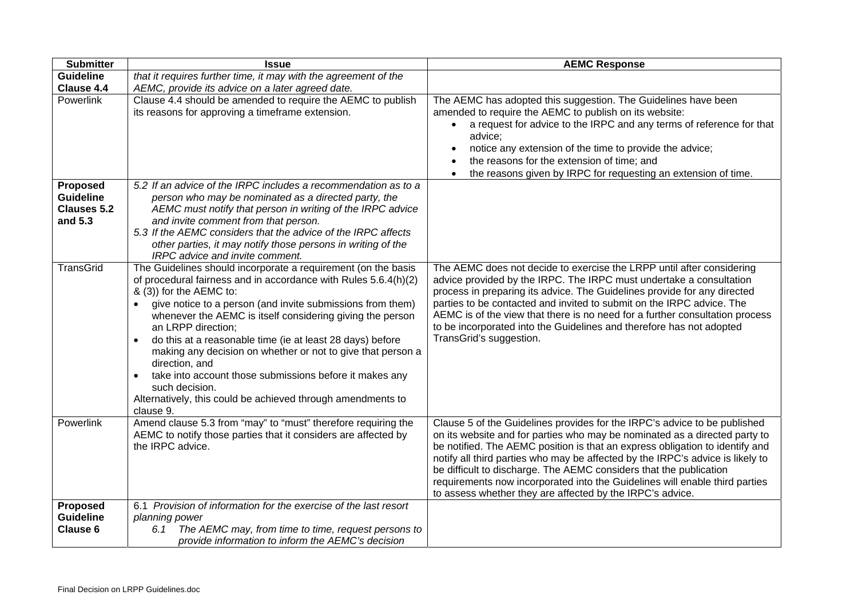| <b>Submitter</b>                                              | <b>Issue</b>                                                                                                                                                                                                                                                                                                                                                                                                                                                                                                                                                                                                                                  | <b>AEMC Response</b>                                                                                                                                                                                                                                                                                                                                                                                                                                                                                                                        |
|---------------------------------------------------------------|-----------------------------------------------------------------------------------------------------------------------------------------------------------------------------------------------------------------------------------------------------------------------------------------------------------------------------------------------------------------------------------------------------------------------------------------------------------------------------------------------------------------------------------------------------------------------------------------------------------------------------------------------|---------------------------------------------------------------------------------------------------------------------------------------------------------------------------------------------------------------------------------------------------------------------------------------------------------------------------------------------------------------------------------------------------------------------------------------------------------------------------------------------------------------------------------------------|
| <b>Guideline</b>                                              | that it requires further time, it may with the agreement of the                                                                                                                                                                                                                                                                                                                                                                                                                                                                                                                                                                               |                                                                                                                                                                                                                                                                                                                                                                                                                                                                                                                                             |
| Clause 4.4                                                    | AEMC, provide its advice on a later agreed date.                                                                                                                                                                                                                                                                                                                                                                                                                                                                                                                                                                                              |                                                                                                                                                                                                                                                                                                                                                                                                                                                                                                                                             |
| Powerlink                                                     | Clause 4.4 should be amended to require the AEMC to publish<br>its reasons for approving a timeframe extension.                                                                                                                                                                                                                                                                                                                                                                                                                                                                                                                               | The AEMC has adopted this suggestion. The Guidelines have been<br>amended to require the AEMC to publish on its website:<br>a request for advice to the IRPC and any terms of reference for that<br>advice;<br>notice any extension of the time to provide the advice;<br>the reasons for the extension of time; and<br>the reasons given by IRPC for requesting an extension of time.                                                                                                                                                      |
| Proposed<br><b>Guideline</b><br><b>Clauses 5.2</b><br>and 5.3 | 5.2 If an advice of the IRPC includes a recommendation as to a<br>person who may be nominated as a directed party, the<br>AEMC must notify that person in writing of the IRPC advice<br>and invite comment from that person.<br>5.3 If the AEMC considers that the advice of the IRPC affects                                                                                                                                                                                                                                                                                                                                                 |                                                                                                                                                                                                                                                                                                                                                                                                                                                                                                                                             |
|                                                               | other parties, it may notify those persons in writing of the<br>IRPC advice and invite comment.                                                                                                                                                                                                                                                                                                                                                                                                                                                                                                                                               |                                                                                                                                                                                                                                                                                                                                                                                                                                                                                                                                             |
| <b>TransGrid</b>                                              | The Guidelines should incorporate a requirement (on the basis<br>of procedural fairness and in accordance with Rules 5.6.4(h)(2)<br>& (3)) for the AEMC to:<br>give notice to a person (and invite submissions from them)<br>whenever the AEMC is itself considering giving the person<br>an LRPP direction;<br>do this at a reasonable time (ie at least 28 days) before<br>$\bullet$<br>making any decision on whether or not to give that person a<br>direction, and<br>take into account those submissions before it makes any<br>$\bullet$<br>such decision.<br>Alternatively, this could be achieved through amendments to<br>clause 9. | The AEMC does not decide to exercise the LRPP until after considering<br>advice provided by the IRPC. The IRPC must undertake a consultation<br>process in preparing its advice. The Guidelines provide for any directed<br>parties to be contacted and invited to submit on the IRPC advice. The<br>AEMC is of the view that there is no need for a further consultation process<br>to be incorporated into the Guidelines and therefore has not adopted<br>TransGrid's suggestion.                                                        |
| Powerlink                                                     | Amend clause 5.3 from "may" to "must" therefore requiring the<br>AEMC to notify those parties that it considers are affected by<br>the IRPC advice.                                                                                                                                                                                                                                                                                                                                                                                                                                                                                           | Clause 5 of the Guidelines provides for the IRPC's advice to be published<br>on its website and for parties who may be nominated as a directed party to<br>be notified. The AEMC position is that an express obligation to identify and<br>notify all third parties who may be affected by the IRPC's advice is likely to<br>be difficult to discharge. The AEMC considers that the publication<br>requirements now incorporated into the Guidelines will enable third parties<br>to assess whether they are affected by the IRPC's advice. |
| <b>Proposed</b><br><b>Guideline</b><br><b>Clause 6</b>        | 6.1 Provision of information for the exercise of the last resort<br>planning power<br>The AEMC may, from time to time, request persons to<br>6.1<br>provide information to inform the AEMC's decision                                                                                                                                                                                                                                                                                                                                                                                                                                         |                                                                                                                                                                                                                                                                                                                                                                                                                                                                                                                                             |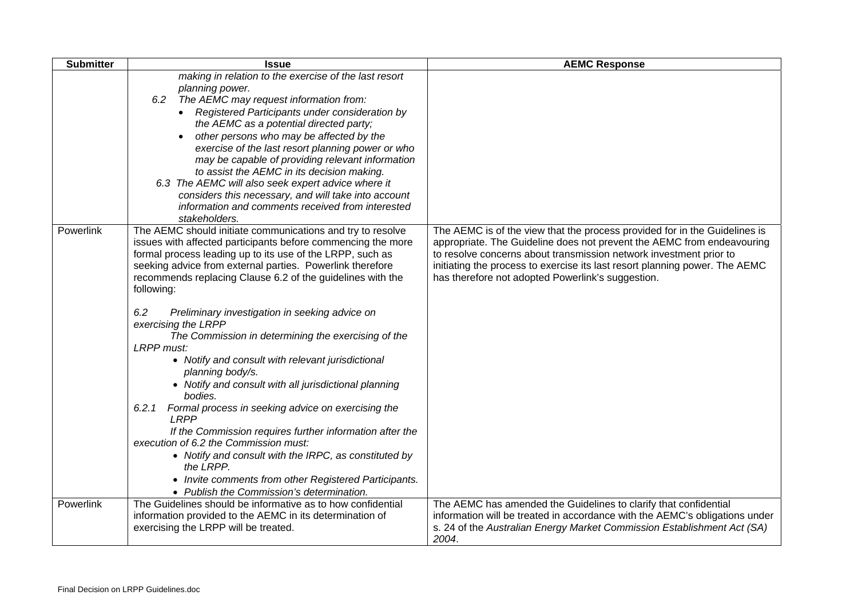| <b>Submitter</b> | <b>Issue</b>                                                                                                                                                                                                                                                                                                                                                                                                                                                                                                                                                                                                                                                                                      | <b>AEMC Response</b>                                                                                                                                                                                                                                                                                                                                           |
|------------------|---------------------------------------------------------------------------------------------------------------------------------------------------------------------------------------------------------------------------------------------------------------------------------------------------------------------------------------------------------------------------------------------------------------------------------------------------------------------------------------------------------------------------------------------------------------------------------------------------------------------------------------------------------------------------------------------------|----------------------------------------------------------------------------------------------------------------------------------------------------------------------------------------------------------------------------------------------------------------------------------------------------------------------------------------------------------------|
|                  | making in relation to the exercise of the last resort<br>planning power.<br>6.2 The AEMC may request information from:<br>• Registered Participants under consideration by<br>the AEMC as a potential directed party;<br>other persons who may be affected by the<br>exercise of the last resort planning power or who<br>may be capable of providing relevant information<br>to assist the AEMC in its decision making.<br>6.3 The AEMC will also seek expert advice where it<br>considers this necessary, and will take into account<br>information and comments received from interested<br>stakeholders.                                                                                      |                                                                                                                                                                                                                                                                                                                                                                |
| Powerlink        | The AEMC should initiate communications and try to resolve<br>issues with affected participants before commencing the more<br>formal process leading up to its use of the LRPP, such as<br>seeking advice from external parties. Powerlink therefore<br>recommends replacing Clause 6.2 of the guidelines with the<br>following:<br>6.2<br>Preliminary investigation in seeking advice on<br>exercising the LRPP<br>The Commission in determining the exercising of the<br>LRPP must:<br>• Notify and consult with relevant jurisdictional<br>planning body/s.<br>• Notify and consult with all jurisdictional planning<br>bodies.<br>6.2.1<br>Formal process in seeking advice on exercising the | The AEMC is of the view that the process provided for in the Guidelines is<br>appropriate. The Guideline does not prevent the AEMC from endeavouring<br>to resolve concerns about transmission network investment prior to<br>initiating the process to exercise its last resort planning power. The AEMC<br>has therefore not adopted Powerlink's suggestion. |
|                  | <b>LRPP</b><br>If the Commission requires further information after the<br>execution of 6.2 the Commission must:<br>• Notify and consult with the IRPC, as constituted by<br>the LRPP.<br>• Invite comments from other Registered Participants.<br>• Publish the Commission's determination.                                                                                                                                                                                                                                                                                                                                                                                                      |                                                                                                                                                                                                                                                                                                                                                                |
| Powerlink        | The Guidelines should be informative as to how confidential<br>information provided to the AEMC in its determination of<br>exercising the LRPP will be treated.                                                                                                                                                                                                                                                                                                                                                                                                                                                                                                                                   | The AEMC has amended the Guidelines to clarify that confidential<br>information will be treated in accordance with the AEMC's obligations under<br>s. 24 of the Australian Energy Market Commission Establishment Act (SA)<br>2004.                                                                                                                            |